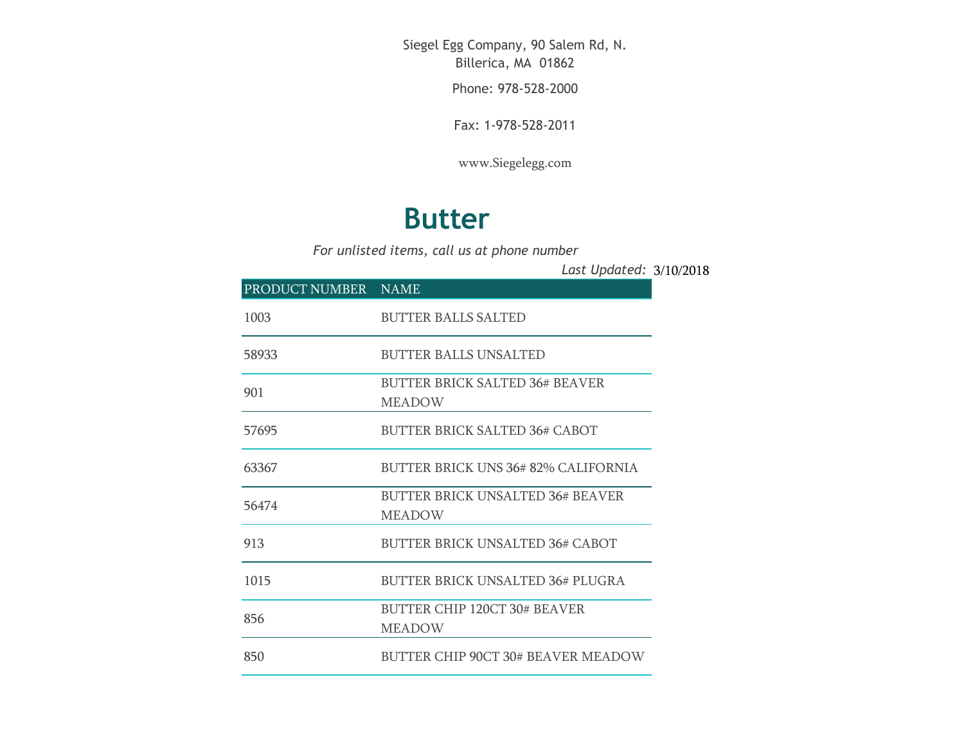Siegel Egg Company, 90 Salem Rd, N. Billerica, MA 01862

Phone: 978-528-2000

Fax: 1-978-528-2011

[www.Siegelegg.com](http://www.siegelegg.com/)

## **Butter**

*For unlisted items, call us at phone number*

3/10/2018 *Last Updated:*

| PRODUCT NUMBER NAME |                                                        |
|---------------------|--------------------------------------------------------|
| 1003                | <b>BUTTER BALLS SALTED</b>                             |
| 58933               | <b>BUTTER BALLS UNSALTED</b>                           |
| 901                 | <b>BUTTER BRICK SALTED 36# BEAVER</b><br><b>MEADOW</b> |
| 57695               | BUTTER BRICK SALTED 36# CABOT                          |
| 63367               | BUTTER BRICK UNS 36# 82% CALIFORNIA                    |
| 56474               | BUTTER BRICK UNSALTED 36# BEAVER<br><b>MEADOW</b>      |
| 913                 | <b>BUTTER BRICK UNSALTED 36# CABOT</b>                 |
| 1015                | <b>BUTTER BRICK UNSALTED 36# PLUGRA</b>                |
| 856                 | <b>BUTTER CHIP 120CT 30# BEAVER</b><br><b>MEADOW</b>   |
| 850                 | BUTTER CHIP 90CT 30# BEAVER MEADOW                     |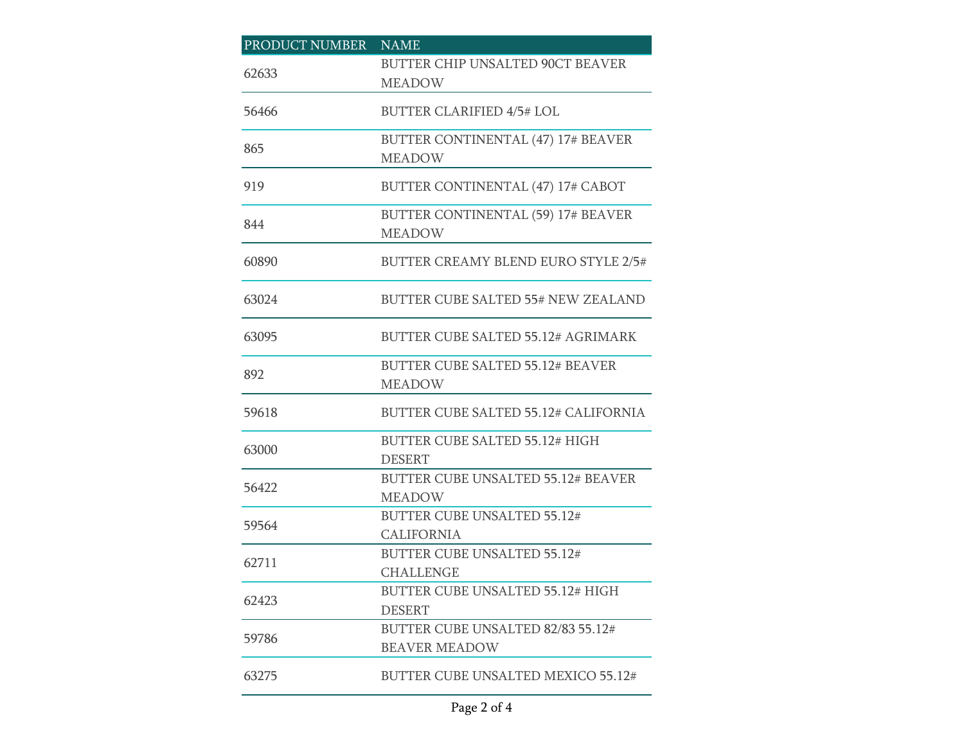| PRODUCT NUMBER | <b>NAME</b>                                                |
|----------------|------------------------------------------------------------|
| 62633          | BUTTER CHIP UNSALTED 90CT BEAVER<br><b>MEADOW</b>          |
| 56466          | <b>BUTTER CLARIFIED 4/5# LOL</b>                           |
| 865            | BUTTER CONTINENTAL (47) 17# BEAVER<br><b>MEADOW</b>        |
| 919            | BUTTER CONTINENTAL (47) 17# CABOT                          |
| 844            | BUTTER CONTINENTAL (59) 17# BEAVER<br><b>MEADOW</b>        |
| 60890          | <b>BUTTER CREAMY BLEND EURO STYLE 2/5#</b>                 |
| 63024          | BUTTER CUBE SALTED 55# NEW ZEALAND                         |
| 63095          | <b>BUTTER CUBE SALTED 55.12# AGRIMARK</b>                  |
| 892            | <b>BUTTER CUBE SALTED 55.12# BEAVER</b><br><b>MEADOW</b>   |
| 59618          | <b>BUTTER CUBE SALTED 55.12# CALIFORNIA</b>                |
| 63000          | <b>BUTTER CUBE SALTED 55.12# HIGH</b><br><b>DESERT</b>     |
| 56422          | <b>BUTTER CUBE UNSALTED 55.12# BEAVER</b><br><b>MEADOW</b> |
| 59564          | <b>BUTTER CUBE UNSALTED 55.12#</b><br><b>CALIFORNIA</b>    |
| 62711          | <b>BUTTER CUBE UNSALTED 55.12#</b><br><b>CHALLENGE</b>     |
| 62423          | <b>BUTTER CUBE UNSALTED 55.12# HIGH</b><br><b>DESERT</b>   |
| 59786          | BUTTER CUBE UNSALTED 82/83 55.12#<br><b>BEAVER MEADOW</b>  |
| 63275          | BUTTER CUBE UNSALTED MEXICO 55.12#                         |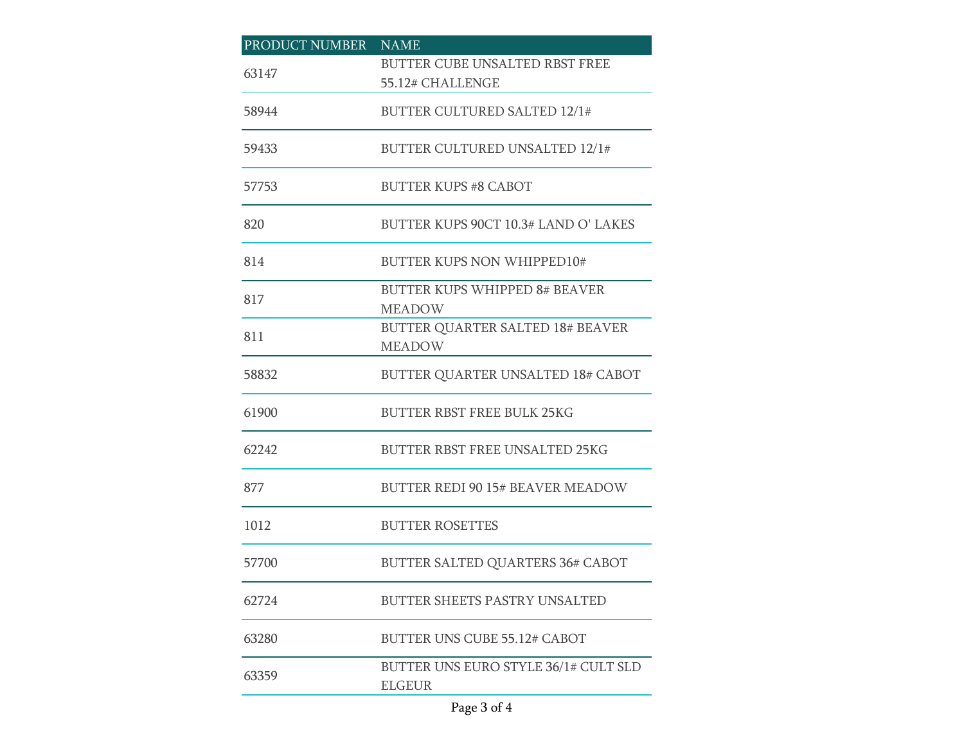| PRODUCT NUMBER NAME |                                                       |
|---------------------|-------------------------------------------------------|
| 63147               | BUTTER CUBE UNSALTED RBST FREE                        |
|                     | 55.12# CHALLENGE                                      |
| 58944               | <b>BUTTER CULTURED SALTED 12/1#</b>                   |
| 59433               | <b>BUTTER CULTURED UNSALTED 12/1#</b>                 |
| 57753               | <b>BUTTER KUPS #8 CABOT</b>                           |
| 820                 | BUTTER KUPS 90CT 10.3# LAND O' LAKES                  |
| 814                 | <b>BUTTER KUPS NON WHIPPED10#</b>                     |
| 817                 | BUTTER KUPS WHIPPED 8# BEAVER                         |
|                     | <b>MEADOW</b>                                         |
| 811                 | <b>BUTTER QUARTER SALTED 18# BEAVER</b>               |
|                     | <b>MEADOW</b>                                         |
| 58832               | <b>BUTTER QUARTER UNSALTED 18# CABOT</b>              |
| 61900               | <b>BUTTER RBST FREE BULK 25KG</b>                     |
| 62242               | <b>BUTTER RBST FREE UNSALTED 25KG</b>                 |
| 877                 | <b>BUTTER REDI 90 15# BEAVER MEADOW</b>               |
| 1012                | <b>BUTTER ROSETTES</b>                                |
| 57700               | <b>BUTTER SALTED QUARTERS 36# CABOT</b>               |
| 62724               | BUTTER SHEETS PASTRY UNSALTED                         |
| 63280               | BUTTER UNS CUBE 55.12# CABOT                          |
| 63359               | BUTTER UNS EURO STYLE 36/1# CULT SLD<br><b>ELGEUR</b> |